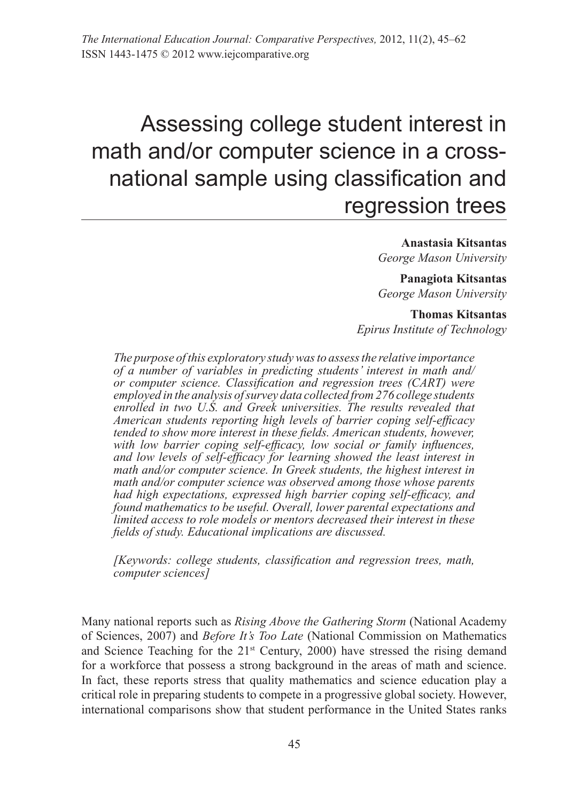*The International Education Journal: Comparative Perspectives,* 2012, 11(2), 45–62 ISSN 1443-1475 © 2012 www.iejcomparative.org

# Assessing college student interest in math and/or computer science in a crossnational sample using classification and regression trees

**Anastasia Kitsantas** *George Mason University*

**Panagiota Kitsantas** *George Mason University*

**Thomas Kitsantas** *Epirus Institute of Technology*

*The purpose of this exploratory study was to assess the relative importance of a number of variables in predicting students' interest in math and/ or computer science. Classification and regression trees (CART) were employed in the analysis of survey data collected from 276 college students enrolled in two U.S. and Greek universities. The results revealed that American students reporting high levels of barrier coping self-efficacy tended to show more interest in these fields. American students, however, with low barrier coping self-efficacy, low social or family influences, and low levels of self-efficacy for learning showed the least interest in math and/or computer science. In Greek students, the highest interest in math and/or computer science was observed among those whose parents had high expectations, expressed high barrier coping self-efficacy, and found mathematics to be useful. Overall, lower parental expectations and limited access to role models or mentors decreased their interest in these fields of study. Educational implications are discussed.*

*[Keywords: college students, classification and regression trees, math, computer sciences]* 

Many national reports such as *Rising Above the Gathering Storm* (National Academy of Sciences, 2007) and *Before It's Too Late* (National Commission on Mathematics and Science Teaching for the  $21<sup>st</sup>$  Century, 2000) have stressed the rising demand for a workforce that possess a strong background in the areas of math and science. In fact, these reports stress that quality mathematics and science education play a critical role in preparing students to compete in a progressive global society. However, international comparisons show that student performance in the United States ranks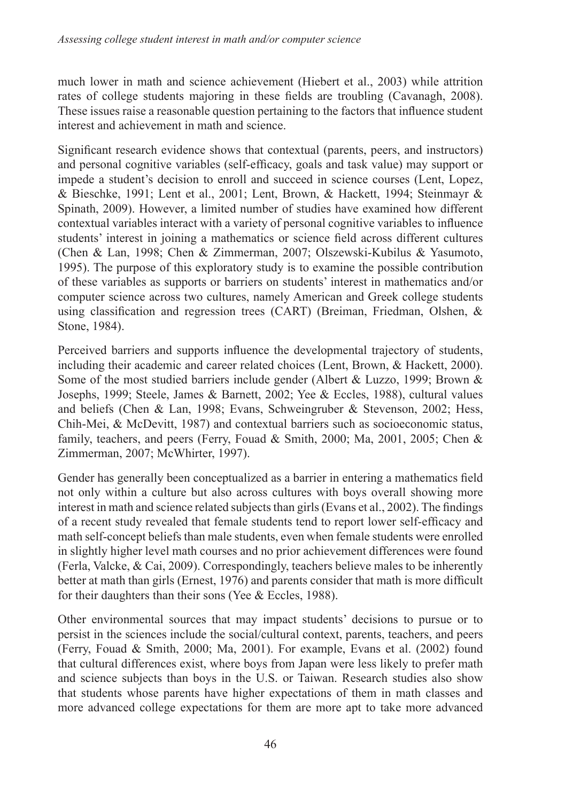much lower in math and science achievement (Hiebert et al., 2003) while attrition rates of college students majoring in these fields are troubling (Cavanagh, 2008). These issues raise a reasonable question pertaining to the factors that influence student interest and achievement in math and science.

Significant research evidence shows that contextual (parents, peers, and instructors) and personal cognitive variables (self-efficacy, goals and task value) may support or impede a student's decision to enroll and succeed in science courses (Lent, Lopez, & Bieschke, 1991; Lent et al., 2001; Lent, Brown, & Hackett, 1994; Steinmayr & Spinath, 2009). However, a limited number of studies have examined how different contextual variables interact with a variety of personal cognitive variables to influence students' interest in joining a mathematics or science field across different cultures (Chen & Lan, 1998; Chen & Zimmerman, 2007; Olszewski-Kubilus & Yasumoto, 1995). The purpose of this exploratory study is to examine the possible contribution of these variables as supports or barriers on students' interest in mathematics and/or computer science across two cultures, namely American and Greek college students using classification and regression trees (CART) (Breiman, Friedman, Olshen, & Stone, 1984).

Perceived barriers and supports influence the developmental trajectory of students, including their academic and career related choices (Lent, Brown, & Hackett, 2000). Some of the most studied barriers include gender (Albert & Luzzo, 1999; Brown & Josephs, 1999; Steele, James & Barnett, 2002; Yee & Eccles, 1988), cultural values and beliefs (Chen & Lan, 1998; Evans, Schweingruber & Stevenson, 2002; Hess, Chih-Mei, & McDevitt, 1987) and contextual barriers such as socioeconomic status, family, teachers, and peers (Ferry, Fouad & Smith, 2000; Ma, 2001, 2005; Chen & Zimmerman, 2007; McWhirter, 1997).

Gender has generally been conceptualized as a barrier in entering a mathematics field not only within a culture but also across cultures with boys overall showing more interest in math and science related subjects than girls (Evans et al., 2002). The findings of a recent study revealed that female students tend to report lower self-efficacy and math self-concept beliefs than male students, even when female students were enrolled in slightly higher level math courses and no prior achievement differences were found (Ferla, Valcke, & Cai, 2009). Correspondingly, teachers believe males to be inherently better at math than girls (Ernest, 1976) and parents consider that math is more difficult for their daughters than their sons (Yee & Eccles, 1988).

Other environmental sources that may impact students' decisions to pursue or to persist in the sciences include the social/cultural context, parents, teachers, and peers (Ferry, Fouad & Smith, 2000; Ma, 2001). For example, Evans et al. (2002) found that cultural differences exist, where boys from Japan were less likely to prefer math and science subjects than boys in the U.S. or Taiwan. Research studies also show that students whose parents have higher expectations of them in math classes and more advanced college expectations for them are more apt to take more advanced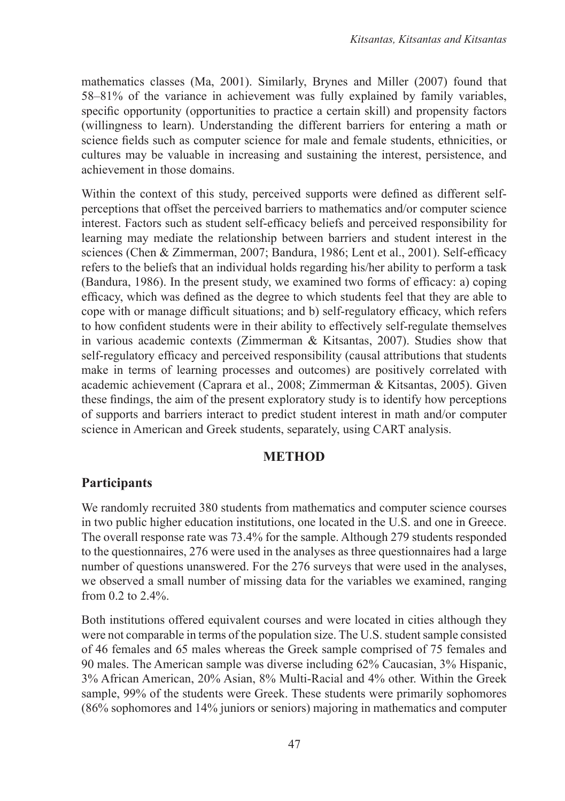mathematics classes (Ma, 2001). Similarly, Brynes and Miller (2007) found that 58–81% of the variance in achievement was fully explained by family variables, specific opportunity (opportunities to practice a certain skill) and propensity factors (willingness to learn). Understanding the different barriers for entering a math or science fields such as computer science for male and female students, ethnicities, or cultures may be valuable in increasing and sustaining the interest, persistence, and achievement in those domains.

Within the context of this study, perceived supports were defined as different selfperceptions that offset the perceived barriers to mathematics and/or computer science interest. Factors such as student self-efficacy beliefs and perceived responsibility for learning may mediate the relationship between barriers and student interest in the sciences (Chen & Zimmerman, 2007; Bandura, 1986; Lent et al., 2001). Self-efficacy refers to the beliefs that an individual holds regarding his/her ability to perform a task (Bandura, 1986). In the present study, we examined two forms of efficacy: a) coping efficacy, which was defined as the degree to which students feel that they are able to cope with or manage difficult situations; and b) self-regulatory efficacy, which refers to how confident students were in their ability to effectively self-regulate themselves in various academic contexts (Zimmerman & Kitsantas, 2007). Studies show that self-regulatory efficacy and perceived responsibility (causal attributions that students make in terms of learning processes and outcomes) are positively correlated with academic achievement (Caprara et al., 2008; Zimmerman & Kitsantas, 2005). Given these findings, the aim of the present exploratory study is to identify how perceptions of supports and barriers interact to predict student interest in math and/or computer science in American and Greek students, separately, using CART analysis.

#### **METHOD**

## **Participants**

We randomly recruited 380 students from mathematics and computer science courses in two public higher education institutions, one located in the U.S. and one in Greece. The overall response rate was 73.4% for the sample. Although 279 students responded to the questionnaires, 276 were used in the analyses as three questionnaires had a large number of questions unanswered. For the 276 surveys that were used in the analyses, we observed a small number of missing data for the variables we examined, ranging from  $0.2$  to  $2.4\%$ .

Both institutions offered equivalent courses and were located in cities although they were not comparable in terms of the population size. The U.S. student sample consisted of 46 females and 65 males whereas the Greek sample comprised of 75 females and 90 males. The American sample was diverse including 62% Caucasian, 3% Hispanic, 3% African American, 20% Asian, 8% Multi-Racial and 4% other. Within the Greek sample, 99% of the students were Greek. These students were primarily sophomores (86% sophomores and 14% juniors or seniors) majoring in mathematics and computer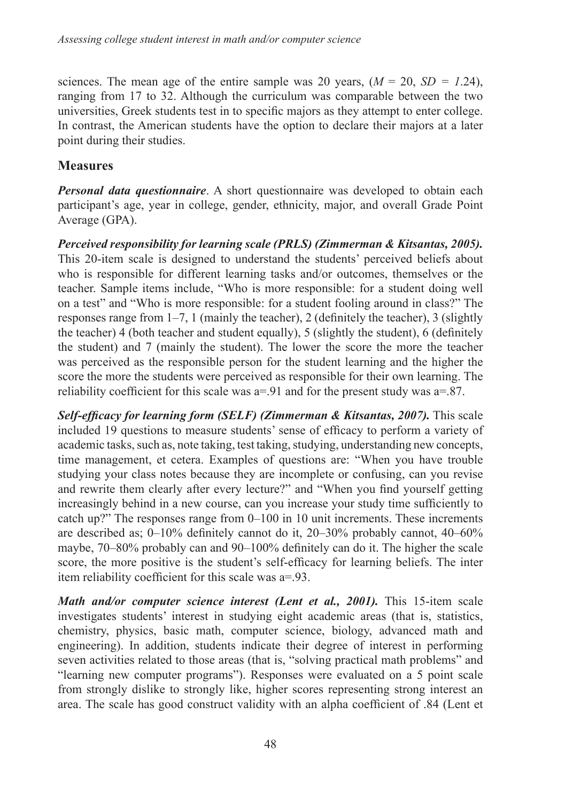sciences. The mean age of the entire sample was 20 years,  $(M = 20, SD = 1.24)$ , ranging from 17 to 32. Although the curriculum was comparable between the two universities, Greek students test in to specific majors as they attempt to enter college. In contrast, the American students have the option to declare their majors at a later point during their studies.

# **Measures**

*Personal data questionnaire*. A short questionnaire was developed to obtain each participant's age, year in college, gender, ethnicity, major, and overall Grade Point Average (GPA).

*Perceived responsibility for learning scale (PRLS) (Zimmerman & Kitsantas, 2005).*  This 20-item scale is designed to understand the students' perceived beliefs about who is responsible for different learning tasks and/or outcomes, themselves or the teacher. Sample items include, "Who is more responsible: for a student doing well on a test" and "Who is more responsible: for a student fooling around in class?" The responses range from 1–7, 1 (mainly the teacher), 2 (definitely the teacher), 3 (slightly the teacher) 4 (both teacher and student equally), 5 (slightly the student), 6 (definitely the student) and 7 (mainly the student). The lower the score the more the teacher was perceived as the responsible person for the student learning and the higher the score the more the students were perceived as responsible for their own learning. The reliability coefficient for this scale was a=.91 and for the present study was a=.87.

*Self-efficacy for learning form (SELF) (Zimmerman & Kitsantas, 2007).* This scale included 19 questions to measure students' sense of efficacy to perform a variety of academic tasks, such as, note taking, test taking, studying, understanding new concepts, time management, et cetera. Examples of questions are: "When you have trouble studying your class notes because they are incomplete or confusing, can you revise and rewrite them clearly after every lecture?" and "When you find yourself getting increasingly behind in a new course, can you increase your study time sufficiently to catch up?" The responses range from 0–100 in 10 unit increments. These increments are described as; 0–10% definitely cannot do it, 20–30% probably cannot, 40–60% maybe, 70–80% probably can and 90–100% definitely can do it. The higher the scale score, the more positive is the student's self-efficacy for learning beliefs. The inter item reliability coefficient for this scale was a=.93.

*Math and/or computer science interest (Lent et al., 2001).* This 15-item scale investigates students' interest in studying eight academic areas (that is, statistics, chemistry, physics, basic math, computer science, biology, advanced math and engineering). In addition, students indicate their degree of interest in performing seven activities related to those areas (that is, "solving practical math problems" and "learning new computer programs"). Responses were evaluated on a 5 point scale from strongly dislike to strongly like, higher scores representing strong interest an area. The scale has good construct validity with an alpha coefficient of .84 (Lent et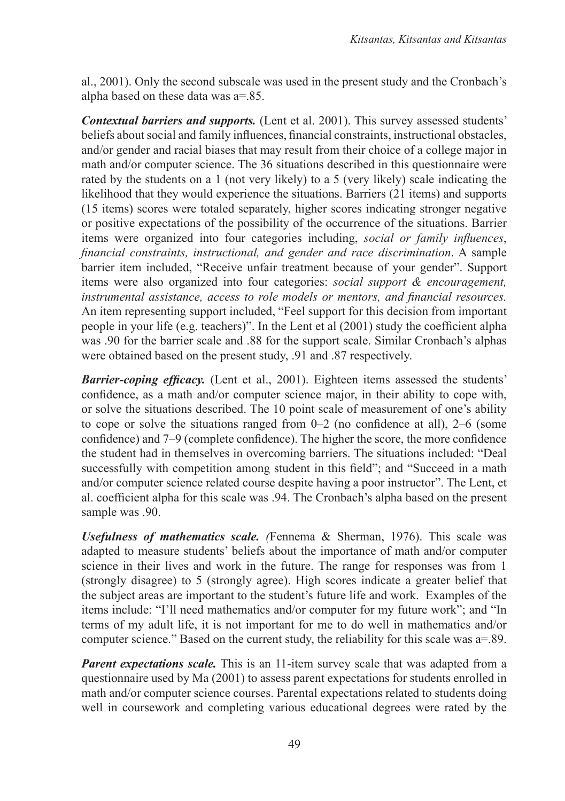al., 2001). Only the second subscale was used in the present study and the Cronbach's alpha based on these data was  $a=85$ .

*Contextual barriers and supports.* (Lent et al. 2001). This survey assessed students' beliefs about social and family influences, financial constraints, instructional obstacles, and/or gender and racial biases that may result from their choice of a college major in math and/or computer science. The 36 situations described in this questionnaire were rated by the students on a 1 (not very likely) to a 5 (very likely) scale indicating the likelihood that they would experience the situations. Barriers (21 items) and supports (15 items) scores were totaled separately, higher scores indicating stronger negative or positive expectations of the possibility of the occurrence of the situations. Barrier items were organized into four categories including, *social or family influences*, *financial constraints, instructional, and gender and race discrimination*. A sample barrier item included, "Receive unfair treatment because of your gender". Support items were also organized into four categories: *social support & encouragement, instrumental assistance, access to role models or mentors, and financial resources.* An item representing support included, "Feel support for this decision from important people in your life (e.g. teachers)". In the Lent et al (2001) study the coefficient alpha was .90 for the barrier scale and .88 for the support scale. Similar Cronbach's alphas were obtained based on the present study, .91 and .87 respectively.

*Barrier-coping efficacy.* (Lent et al., 2001). Eighteen items assessed the students' confidence, as a math and/or computer science major, in their ability to cope with, or solve the situations described. The 10 point scale of measurement of one's ability to cope or solve the situations ranged from  $0-2$  (no confidence at all),  $2-6$  (some confidence) and 7–9 (complete confidence). The higher the score, the more confidence the student had in themselves in overcoming barriers. The situations included: "Deal successfully with competition among student in this field"; and "Succeed in a math and/or computer science related course despite having a poor instructor". The Lent, et al. coefficient alpha for this scale was .94. The Cronbach's alpha based on the present sample was .90.

*Usefulness of mathematics scale. (*Fennema & Sherman, 1976). This scale was adapted to measure students' beliefs about the importance of math and/or computer science in their lives and work in the future. The range for responses was from 1 (strongly disagree) to 5 (strongly agree). High scores indicate a greater belief that the subject areas are important to the student's future life and work. Examples of the items include: "I'll need mathematics and/or computer for my future work"; and "In terms of my adult life, it is not important for me to do well in mathematics and/or computer science." Based on the current study, the reliability for this scale was a=.89.

*Parent expectations scale.* This is an 11-item survey scale that was adapted from a questionnaire used by Ma (2001) to assess parent expectations for students enrolled in math and/or computer science courses. Parental expectations related to students doing well in coursework and completing various educational degrees were rated by the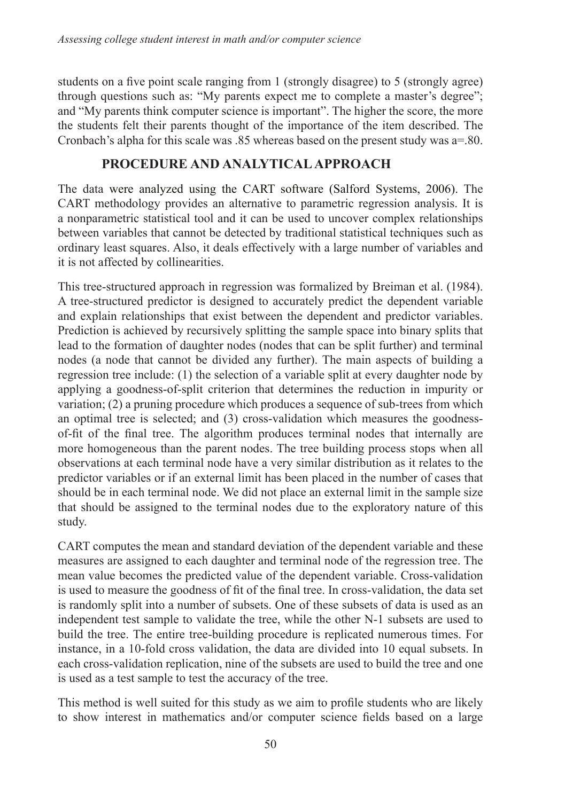students on a five point scale ranging from 1 (strongly disagree) to 5 (strongly agree) through questions such as: "My parents expect me to complete a master's degree"; and "My parents think computer science is important". The higher the score, the more the students felt their parents thought of the importance of the item described. The Cronbach's alpha for this scale was  $.85$  whereas based on the present study was  $a=80$ .

## **PROCEDURE AND ANALYTICAL APPROACH**

The data were analyzed using the CART software (Salford Systems, 2006). The CART methodology provides an alternative to parametric regression analysis. It is a nonparametric statistical tool and it can be used to uncover complex relationships between variables that cannot be detected by traditional statistical techniques such as ordinary least squares. Also, it deals effectively with a large number of variables and it is not affected by collinearities.

This tree-structured approach in regression was formalized by Breiman et al. (1984). A tree-structured predictor is designed to accurately predict the dependent variable and explain relationships that exist between the dependent and predictor variables. Prediction is achieved by recursively splitting the sample space into binary splits that lead to the formation of daughter nodes (nodes that can be split further) and terminal nodes (a node that cannot be divided any further). The main aspects of building a regression tree include: (1) the selection of a variable split at every daughter node by applying a goodness-of-split criterion that determines the reduction in impurity or variation; (2) a pruning procedure which produces a sequence of sub-trees from which an optimal tree is selected; and (3) cross-validation which measures the goodnessof-fit of the final tree. The algorithm produces terminal nodes that internally are more homogeneous than the parent nodes. The tree building process stops when all observations at each terminal node have a very similar distribution as it relates to the predictor variables or if an external limit has been placed in the number of cases that should be in each terminal node. We did not place an external limit in the sample size that should be assigned to the terminal nodes due to the exploratory nature of this study.

CART computes the mean and standard deviation of the dependent variable and these measures are assigned to each daughter and terminal node of the regression tree. The mean value becomes the predicted value of the dependent variable. Cross-validation is used to measure the goodness of fit of the final tree. In cross-validation, the data set is randomly split into a number of subsets. One of these subsets of data is used as an independent test sample to validate the tree, while the other N-1 subsets are used to build the tree. The entire tree-building procedure is replicated numerous times. For instance, in a 10-fold cross validation, the data are divided into 10 equal subsets. In each cross-validation replication, nine of the subsets are used to build the tree and one is used as a test sample to test the accuracy of the tree.

This method is well suited for this study as we aim to profile students who are likely to show interest in mathematics and/or computer science fields based on a large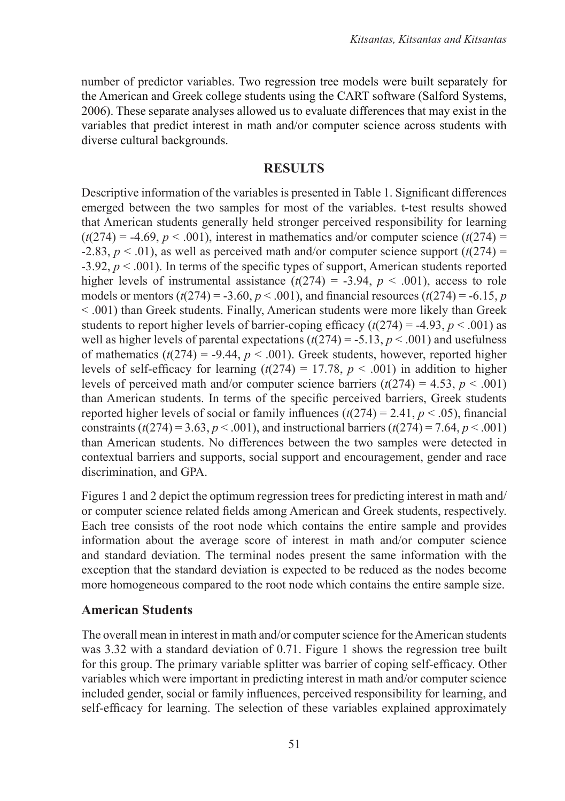number of predictor variables. Two regression tree models were built separately for the American and Greek college students using the CART software (Salford Systems, 2006). These separate analyses allowed us to evaluate differences that may exist in the variables that predict interest in math and/or computer science across students with diverse cultural backgrounds.

#### **RESULTS**

Descriptive information of the variables is presented in Table 1. Significant differences emerged between the two samples for most of the variables. t-test results showed that American students generally held stronger perceived responsibility for learning  $(t(274) = -4.69, p < .001)$ , interest in mathematics and/or computer science  $(t(274) =$ -2.83,  $p < .01$ ), as well as perceived math and/or computer science support ( $t(274)$  =  $-3.92$ ,  $p < .001$ ). In terms of the specific types of support, American students reported higher levels of instrumental assistance  $(t(274) = -3.94, p < .001)$ , access to role models or mentors  $(t(274) = -3.60, p < .001)$ , and financial resources  $(t(274) = -6.15, p$ < .001) than Greek students. Finally, American students were more likely than Greek students to report higher levels of barrier-coping efficacy  $(t(274) = -4.93, p < .001)$  as well as higher levels of parental expectations  $(t(274) = -5.13, p < .001)$  and usefulness of mathematics  $(t(274) = -9.44, p < .001)$ . Greek students, however, reported higher levels of self-efficacy for learning  $(t(274) = 17.78, p < .001)$  in addition to higher levels of perceived math and/or computer science barriers  $(t(274) = 4.53, p < .001)$ than American students. In terms of the specific perceived barriers, Greek students reported higher levels of social or family influences  $(t(274) = 2.41, p < .05)$ , financial constraints ( $t(274) = 3.63$ ,  $p < .001$ ), and instructional barriers ( $t(274) = 7.64$ ,  $p < .001$ ) than American students. No differences between the two samples were detected in contextual barriers and supports, social support and encouragement, gender and race discrimination, and GPA.

Figures 1 and 2 depict the optimum regression trees for predicting interest in math and/ or computer science related fields among American and Greek students, respectively. Each tree consists of the root node which contains the entire sample and provides information about the average score of interest in math and/or computer science and standard deviation. The terminal nodes present the same information with the exception that the standard deviation is expected to be reduced as the nodes become more homogeneous compared to the root node which contains the entire sample size.

#### **American Students**

The overall mean in interest in math and/or computer science for the American students was 3.32 with a standard deviation of 0.71. Figure 1 shows the regression tree built for this group. The primary variable splitter was barrier of coping self-efficacy. Other variables which were important in predicting interest in math and/or computer science included gender, social or family influences, perceived responsibility for learning, and self-efficacy for learning. The selection of these variables explained approximately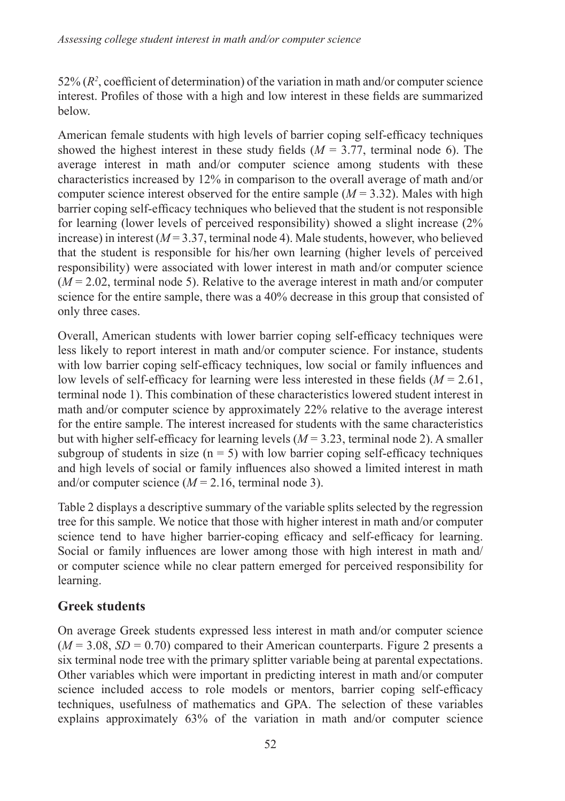52%  $(R^2)$ , coefficient of determination) of the variation in math and/or computer science interest. Profiles of those with a high and low interest in these fields are summarized below.

American female students with high levels of barrier coping self-efficacy techniques showed the highest interest in these study fields  $(M = 3.77$ , terminal node 6). The average interest in math and/or computer science among students with these characteristics increased by 12% in comparison to the overall average of math and/or computer science interest observed for the entire sample  $(M = 3.32)$ . Males with high barrier coping self-efficacy techniques who believed that the student is not responsible for learning (lower levels of perceived responsibility) showed a slight increase (2% increase) in interest  $(M = 3.37$ , terminal node 4). Male students, however, who believed that the student is responsible for his/her own learning (higher levels of perceived responsibility) were associated with lower interest in math and/or computer science  $(M = 2.02$ , terminal node 5). Relative to the average interest in math and/or computer science for the entire sample, there was a 40% decrease in this group that consisted of only three cases.

Overall, American students with lower barrier coping self-efficacy techniques were less likely to report interest in math and/or computer science. For instance, students with low barrier coping self-efficacy techniques, low social or family influences and low levels of self-efficacy for learning were less interested in these fields (*M* = 2.61, terminal node 1). This combination of these characteristics lowered student interest in math and/or computer science by approximately 22% relative to the average interest for the entire sample. The interest increased for students with the same characteristics but with higher self-efficacy for learning levels  $(M = 3.23$ , terminal node 2). A smaller subgroup of students in size  $(n = 5)$  with low barrier coping self-efficacy techniques and high levels of social or family influences also showed a limited interest in math and/or computer science  $(M = 2.16$ , terminal node 3).

Table 2 displays a descriptive summary of the variable splits selected by the regression tree for this sample. We notice that those with higher interest in math and/or computer science tend to have higher barrier-coping efficacy and self-efficacy for learning. Social or family influences are lower among those with high interest in math and/ or computer science while no clear pattern emerged for perceived responsibility for learning.

# **Greek students**

On average Greek students expressed less interest in math and/or computer science  $(M = 3.08, SD = 0.70)$  compared to their American counterparts. Figure 2 presents a six terminal node tree with the primary splitter variable being at parental expectations. Other variables which were important in predicting interest in math and/or computer science included access to role models or mentors, barrier coping self-efficacy techniques, usefulness of mathematics and GPA. The selection of these variables explains approximately 63% of the variation in math and/or computer science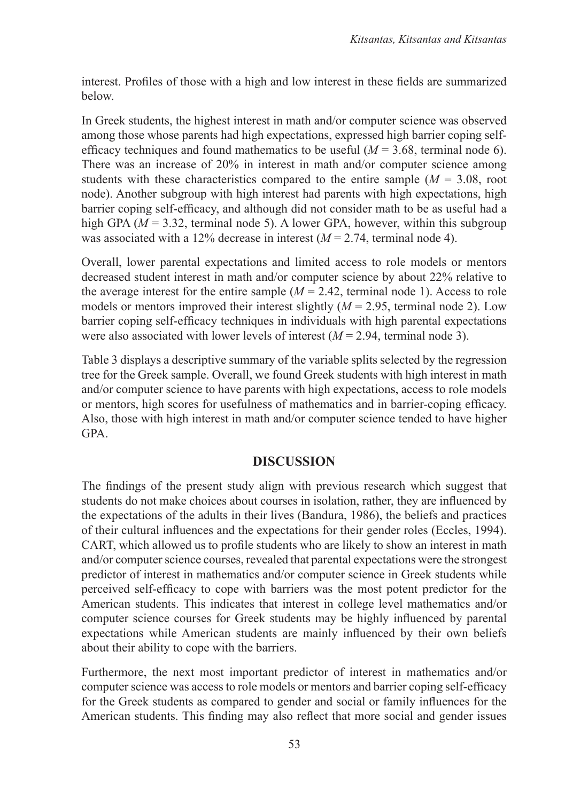interest. Profiles of those with a high and low interest in these fields are summarized below.

In Greek students, the highest interest in math and/or computer science was observed among those whose parents had high expectations, expressed high barrier coping selfefficacy techniques and found mathematics to be useful  $(M = 3.68$ , terminal node 6). There was an increase of 20% in interest in math and/or computer science among students with these characteristics compared to the entire sample  $(M = 3.08, \text{ root})$ node). Another subgroup with high interest had parents with high expectations, high barrier coping self-efficacy, and although did not consider math to be as useful had a high GPA ( $M = 3.32$ , terminal node 5). A lower GPA, however, within this subgroup was associated with a 12% decrease in interest (*M* = 2.74, terminal node 4).

Overall, lower parental expectations and limited access to role models or mentors decreased student interest in math and/or computer science by about 22% relative to the average interest for the entire sample  $(M = 2.42$ , terminal node 1). Access to role models or mentors improved their interest slightly  $(M = 2.95$ , terminal node 2). Low barrier coping self-efficacy techniques in individuals with high parental expectations were also associated with lower levels of interest  $(M = 2.94$ , terminal node 3).

Table 3 displays a descriptive summary of the variable splits selected by the regression tree for the Greek sample. Overall, we found Greek students with high interest in math and/or computer science to have parents with high expectations, access to role models or mentors, high scores for usefulness of mathematics and in barrier-coping efficacy. Also, those with high interest in math and/or computer science tended to have higher GPA.

## **DISCUSSION**

The findings of the present study align with previous research which suggest that students do not make choices about courses in isolation, rather, they are influenced by the expectations of the adults in their lives (Bandura, 1986), the beliefs and practices of their cultural influences and the expectations for their gender roles (Eccles, 1994). CART, which allowed us to profile students who are likely to show an interest in math and/or computer science courses, revealed that parental expectations were the strongest predictor of interest in mathematics and/or computer science in Greek students while perceived self-efficacy to cope with barriers was the most potent predictor for the American students. This indicates that interest in college level mathematics and/or computer science courses for Greek students may be highly influenced by parental expectations while American students are mainly influenced by their own beliefs about their ability to cope with the barriers.

Furthermore, the next most important predictor of interest in mathematics and/or computer science was access to role models or mentors and barrier coping self-efficacy for the Greek students as compared to gender and social or family influences for the American students. This finding may also reflect that more social and gender issues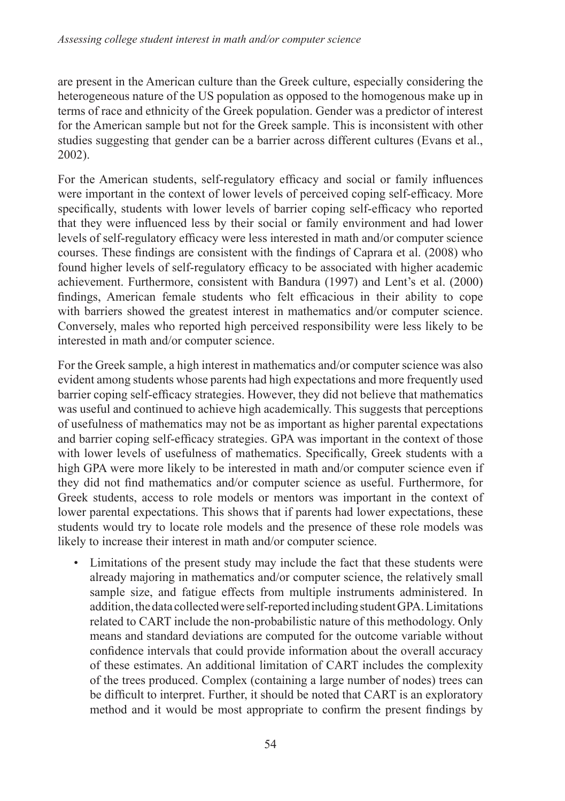are present in the American culture than the Greek culture, especially considering the heterogeneous nature of the US population as opposed to the homogenous make up in terms of race and ethnicity of the Greek population. Gender was a predictor of interest for the American sample but not for the Greek sample. This is inconsistent with other studies suggesting that gender can be a barrier across different cultures (Evans et al., 2002).

For the American students, self-regulatory efficacy and social or family influences were important in the context of lower levels of perceived coping self-efficacy. More specifically, students with lower levels of barrier coping self-efficacy who reported that they were influenced less by their social or family environment and had lower levels of self-regulatory efficacy were less interested in math and/or computer science courses. These findings are consistent with the findings of Caprara et al. (2008) who found higher levels of self-regulatory efficacy to be associated with higher academic achievement. Furthermore, consistent with Bandura (1997) and Lent's et al. (2000) findings, American female students who felt efficacious in their ability to cope with barriers showed the greatest interest in mathematics and/or computer science. Conversely, males who reported high perceived responsibility were less likely to be interested in math and/or computer science.

For the Greek sample, a high interest in mathematics and/or computer science was also evident among students whose parents had high expectations and more frequently used barrier coping self-efficacy strategies. However, they did not believe that mathematics was useful and continued to achieve high academically. This suggests that perceptions of usefulness of mathematics may not be as important as higher parental expectations and barrier coping self-efficacy strategies. GPA was important in the context of those with lower levels of usefulness of mathematics. Specifically, Greek students with a high GPA were more likely to be interested in math and/or computer science even if they did not find mathematics and/or computer science as useful. Furthermore, for Greek students, access to role models or mentors was important in the context of lower parental expectations. This shows that if parents had lower expectations, these students would try to locate role models and the presence of these role models was likely to increase their interest in math and/or computer science.

Limitations of the present study may include the fact that these students were already majoring in mathematics and/or computer science, the relatively small sample size, and fatigue effects from multiple instruments administered. In addition, the data collected were self-reported including student GPA. Limitations related to CART include the non-probabilistic nature of this methodology. Only means and standard deviations are computed for the outcome variable without confidence intervals that could provide information about the overall accuracy of these estimates. An additional limitation of CART includes the complexity of the trees produced. Complex (containing a large number of nodes) trees can be difficult to interpret. Further, it should be noted that CART is an exploratory method and it would be most appropriate to confirm the present findings by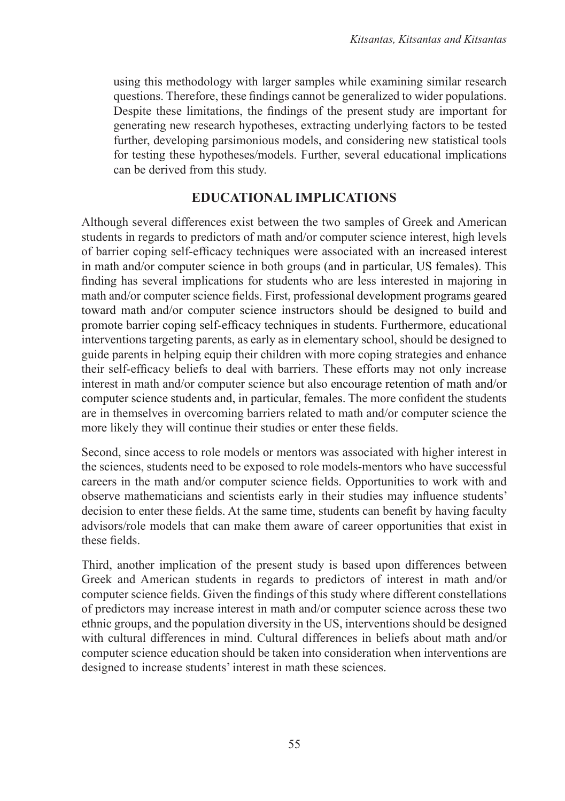using this methodology with larger samples while examining similar research questions. Therefore, these findings cannot be generalized to wider populations. Despite these limitations, the findings of the present study are important for generating new research hypotheses, extracting underlying factors to be tested further, developing parsimonious models, and considering new statistical tools for testing these hypotheses/models. Further, several educational implications can be derived from this study.

## **EDUCATIONAL IMPLICATIONS**

Although several differences exist between the two samples of Greek and American students in regards to predictors of math and/or computer science interest, high levels of barrier coping self-efficacy techniques were associated with an increased interest in math and/or computer science in both groups (and in particular, US females). This finding has several implications for students who are less interested in majoring in math and/or computer science fields. First, professional development programs geared toward math and/or computer science instructors should be designed to build and promote barrier coping self-efficacy techniques in students. Furthermore, educational interventions targeting parents, as early as in elementary school, should be designed to guide parents in helping equip their children with more coping strategies and enhance their self-efficacy beliefs to deal with barriers. These efforts may not only increase interest in math and/or computer science but also encourage retention of math and/or computer science students and, in particular, females. The more confident the students are in themselves in overcoming barriers related to math and/or computer science the more likely they will continue their studies or enter these fields.

Second, since access to role models or mentors was associated with higher interest in the sciences, students need to be exposed to role models-mentors who have successful careers in the math and/or computer science fields. Opportunities to work with and observe mathematicians and scientists early in their studies may influence students' decision to enter these fields. At the same time, students can benefit by having faculty advisors/role models that can make them aware of career opportunities that exist in these fields.

Third, another implication of the present study is based upon differences between Greek and American students in regards to predictors of interest in math and/or computer science fields. Given the findings of this study where different constellations of predictors may increase interest in math and/or computer science across these two ethnic groups, and the population diversity in the US, interventions should be designed with cultural differences in mind. Cultural differences in beliefs about math and/or computer science education should be taken into consideration when interventions are designed to increase students' interest in math these sciences.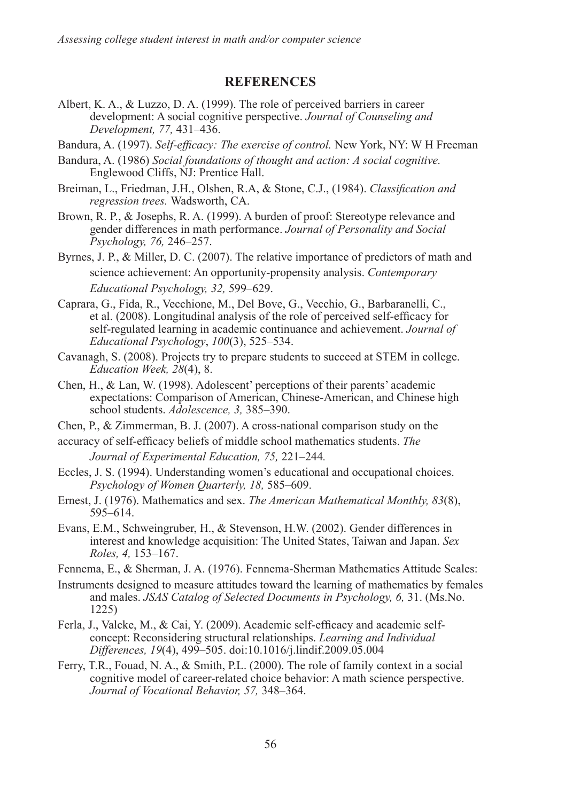#### **REFERENCES**

- Albert, K. A., & Luzzo, D. A. (1999). The role of perceived barriers in career development: A social cognitive perspective. *Journal of Counseling and Development, 77,* 431–436.
- Bandura, A. (1997). *Self-efficacy: The exercise of control.* New York, NY: W H Freeman
- Bandura, A. (1986) *Social foundations of thought and action: A social cognitive.* Englewood Cliffs, NJ: Prentice Hall.
- Breiman, L., Friedman, J.H., Olshen, R.A, & Stone, C.J., (1984). *Classification and regression trees.* Wadsworth, CA.
- Brown, R. P., & Josephs, R. A. (1999). A burden of proof: Stereotype relevance and gender differences in math performance. *Journal of Personality and Social Psychology, 76,* 246–257.
- Byrnes, J. P., & Miller, D. C. (2007). The relative importance of predictors of math and science achievement: An opportunity-propensity analysis. *Contemporary Educational Psychology, 32,* 599–629.
- Caprara, G., Fida, R., Vecchione, M., Del Bove, G., Vecchio, G., Barbaranelli, C., et al. (2008). Longitudinal analysis of the role of perceived self-efficacy for self-regulated learning in academic continuance and achievement. *Journal of Educational Psychology*, *100*(3), 525–534.
- Cavanagh, S. (2008). Projects try to prepare students to succeed at STEM in college. *Education Week, 28*(4), 8.
- Chen, H., & Lan, W. (1998). Adolescent' perceptions of their parents' academic expectations: Comparison of American, Chinese-American, and Chinese high school students. *Adolescence, 3,* 385–390.
- Chen, P., & Zimmerman, B. J. (2007). A cross-national comparison study on the
- accuracy of self-efficacy beliefs of middle school mathematics students. *The Journal of Experimental Education, 75,* 221–244*.*
- Eccles, J. S. (1994). Understanding women's educational and occupational choices. *Psychology of Women Quarterly, 18,* 585–609.
- Ernest, J. (1976). Mathematics and sex. *The American Mathematical Monthly, 83*(8), 595–614.
- Evans, E.M., Schweingruber, H., & Stevenson, H.W. (2002). Gender differences in interest and knowledge acquisition: The United States, Taiwan and Japan. *Sex Roles, 4,* 153–167.
- Fennema, E., & Sherman, J. A. (1976). Fennema-Sherman Mathematics Attitude Scales:
- Instruments designed to measure attitudes toward the learning of mathematics by females and males. *JSAS Catalog of Selected Documents in Psychology, 6,* 31. (Ms.No. 1225)
- Ferla, J., Valcke, M., & Cai, Y. (2009). Academic self-efficacy and academic self concept: Reconsidering structural relationships. *Learning and Individual Differences, 19*(4), 499–505. doi:10.1016/j.lindif.2009.05.004
- Ferry, T.R., Fouad, N. A., & Smith, P.L. (2000). The role of family context in a social cognitive model of career-related choice behavior: A math science perspective. *Journal of Vocational Behavior, 57,* 348–364.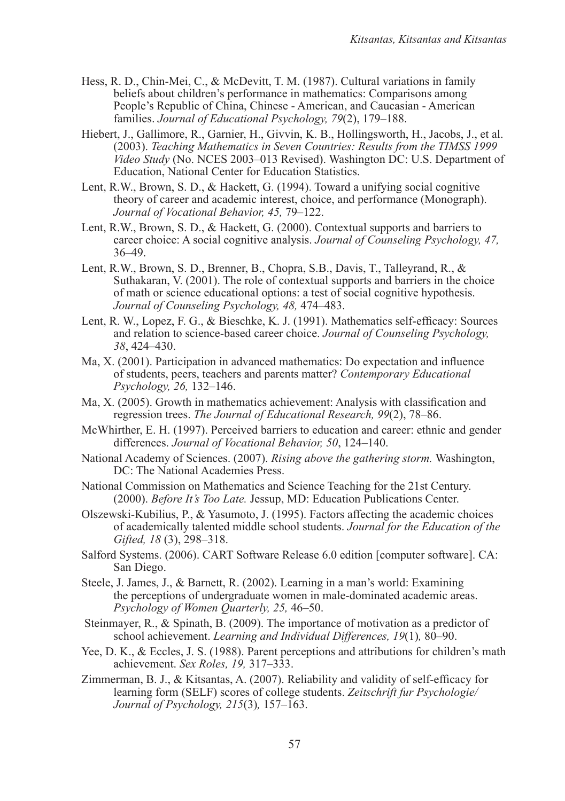- Hess, R. D., Chin-Mei, C., & McDevitt, T. M. (1987). Cultural variations in family beliefs about children's performance in mathematics: Comparisons among People's Republic of China, Chinese - American, and Caucasian - American families. *Journal of Educational Psychology, 79*(2), 179–188.
- Hiebert, J., Gallimore, R., Garnier, H., Givvin, K. B., Hollingsworth, H., Jacobs, J., et al. (2003). *Teaching Mathematics in Seven Countries: Results from the TIMSS 1999 Video Study* (No. NCES 2003–013 Revised). Washington DC: U.S. Department of Education, National Center for Education Statistics.
- Lent, R.W., Brown, S. D., & Hackett, G. (1994). Toward a unifying social cognitive theory of career and academic interest, choice, and performance (Monograph). *Journal of Vocational Behavior, 45,* 79–122.
- Lent, R.W., Brown, S. D., & Hackett, G. (2000). Contextual supports and barriers to career choice: A social cognitive analysis. *Journal of Counseling Psychology, 47,*  36–49.
- Lent, R.W., Brown, S. D., Brenner, B., Chopra, S.B., Davis, T., Talleyrand, R., & Suthakaran, V. (2001). The role of contextual supports and barriers in the choice of math or science educational options: a test of social cognitive hypothesis. *Journal of Counseling Psychology, 48,* 474–483.
- Lent, R. W., Lopez, F. G., & Bieschke, K. J. (1991). Mathematics self-efficacy: Sources and relation to science-based career choice. *Journal of Counseling Psychology, 38*, 424–430.
- Ma, X. (2001). Participation in advanced mathematics: Do expectation and influence of students, peers, teachers and parents matter? *Contemporary Educational Psychology, 26,* 132–146.
- Ma, X. (2005). Growth in mathematics achievement: Analysis with classification and regression trees. *The Journal of Educational Research, 99*(2), 78–86.
- McWhirther, E. H. (1997). Perceived barriers to education and career: ethnic and gender differences. *Journal of Vocational Behavior, 50*, 124–140.
- National Academy of Sciences. (2007). *Rising above the gathering storm.* Washington, DC: The National Academies Press.
- National Commission on Mathematics and Science Teaching for the 21st Century. (2000). *Before It's Too Late.* Jessup, MD: Education Publications Center.
- Olszewski-Kubilius, P., & Yasumoto, J. (1995). Factors affecting the academic choices of academically talented middle school students. *Journal for the Education of the Gifted, 18* (3), 298–318.
- Salford Systems. (2006). CART Software Release 6.0 edition [computer software]. CA: San Diego.
- Steele, J. James, J., & Barnett, R. (2002). Learning in a man's world: Examining the perceptions of undergraduate women in male-dominated academic areas. *Psychology of Women Quarterly, 25,* 46–50.
- Steinmayer, R., & Spinath, B. (2009). The importance of motivation as a predictor of school achievement. *Learning and Individual Differences, 19*(1)*,* 80–90.
- Yee, D. K., & Eccles, J. S. (1988). Parent perceptions and attributions for children's math achievement. *Sex Roles, 19,* 317–333.
- Zimmerman, B. J., & Kitsantas, A. (2007). Reliability and validity of self-efficacy for learning form (SELF) scores of college students. *Zeitschrift fur Psychologie/ Journal of Psychology, 215*(3)*,* 157–163.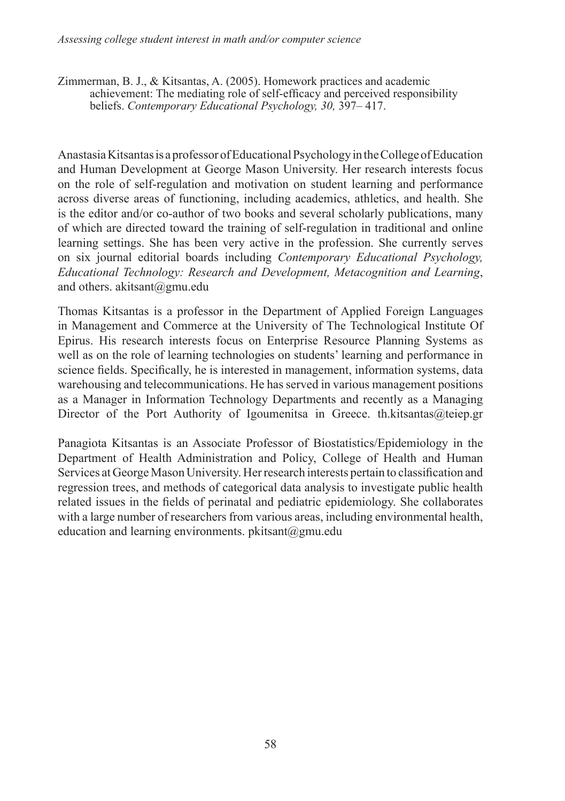Zimmerman, B. J., & Kitsantas, A. (2005). Homework practices and academic achievement: The mediating role of self-efficacy and perceived responsibility beliefs. *Contemporary Educational Psychology, 30,* 397– 417.

Anastasia Kitsantas is a professor of Educational Psychology in the College of Education and Human Development at George Mason University. Her research interests focus on the role of self-regulation and motivation on student learning and performance across diverse areas of functioning, including academics, athletics, and health. She is the editor and/or co-author of two books and several scholarly publications, many of which are directed toward the training of self-regulation in traditional and online learning settings. She has been very active in the profession. She currently serves on six journal editorial boards including *Contemporary Educational Psychology, Educational Technology: Research and Development, Metacognition and Learning*, and others. [akitsant@gmu.edu](mailto:akitsant@gmu.edu)

Thomas Kitsantas is a professor in the Department of Applied Foreign Languages in Management and Commerce at the University of The Technological Institute Of Epirus. His research interests focus on Enterprise Resource Planning Systems as well as on the role of learning technologies on students' learning and performance in science fields. Specifically, he is interested in management, information systems, data warehousing and telecommunications. He has served in various management positions as a Manager in Information Technology Departments and recently as a Managing Director of the Port Authority of Igoumenitsa in Greece. [th.kitsantas@teiep.gr](mailto:th.kitsantas@teiep.gr%3e)

Panagiota Kitsantas is an Associate Professor of Biostatistics/Epidemiology in the Department of Health Administration and Policy, College of Health and Human Services at George Mason University. Her research interests pertain to classification and regression trees, and methods of categorical data analysis to investigate public health related issues in the fields of perinatal and pediatric epidemiology. She collaborates with a large number of researchers from various areas, including environmental health, education and learning environments. [pkitsant@gmu.edu](mailto:pkitsant@gmu.edu)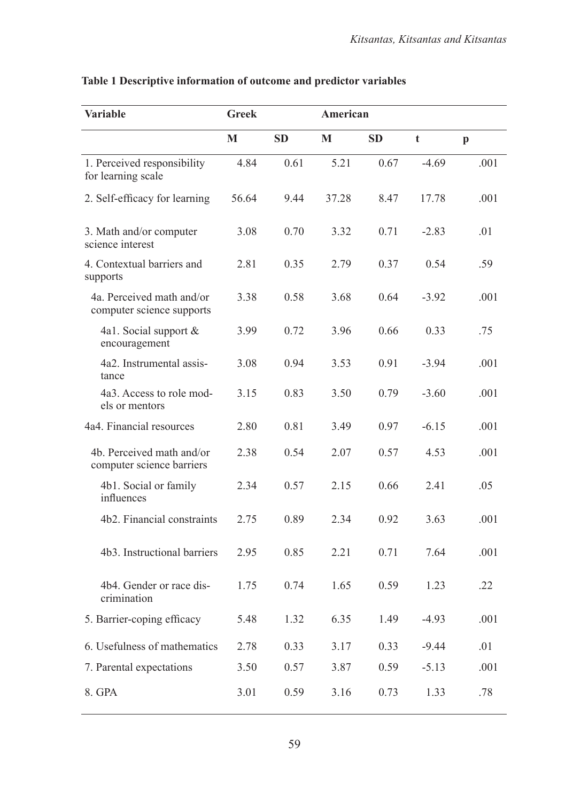| <b>Variable</b>                                        | <b>Greek</b> |           | American |           |         |              |
|--------------------------------------------------------|--------------|-----------|----------|-----------|---------|--------------|
|                                                        | М            | <b>SD</b> | M        | <b>SD</b> | t       | $\mathbf{p}$ |
| 1. Perceived responsibility<br>for learning scale      | 4.84         | 0.61      | 5.21     | 0.67      | $-469$  | .001         |
| 2. Self-efficacy for learning                          | 56.64        | 9.44      | 37.28    | 8.47      | 17.78   | .001         |
| 3. Math and/or computer<br>science interest            | 3.08         | 0.70      | 3.32     | 0.71      | $-2.83$ | .01          |
| 4. Contextual barriers and<br>supports                 | 2.81         | 0.35      | 2.79     | 0.37      | 0.54    | .59          |
| 4a. Perceived math and/or<br>computer science supports | 3.38         | 0.58      | 3.68     | 0.64      | $-3.92$ | .001         |
| 4a1. Social support &<br>encouragement                 | 3.99         | 0.72      | 3.96     | 0.66      | 0.33    | .75          |
| 4a2. Instrumental assis-<br>tance                      | 3.08         | 0.94      | 3.53     | 0.91      | $-3.94$ | .001         |
| 4a3. Access to role mod-<br>els or mentors             | 3.15         | 0.83      | 3.50     | 0.79      | $-3.60$ | .001         |
| 4a4. Financial resources                               | 2.80         | 0.81      | 3.49     | 0.97      | $-6.15$ | .001         |
| 4b. Perceived math and/or<br>computer science barriers | 2.38         | 0.54      | 2.07     | 0.57      | 4.53    | .001         |
| 4b1. Social or family<br>influences                    | 2.34         | 0.57      | 2.15     | 0.66      | 2.41    | .05          |
| 4b2. Financial constraints                             | 2.75         | 0.89      | 2.34     | 0.92      | 3.63    | .001         |
| 4b3. Instructional barriers                            | 2.95         | 0.85      | 2.21     | 0.71      | 7.64    | .001         |
| 4b4. Gender or race dis-<br>crimination                | 1.75         | 0.74      | 1.65     | 0.59      | 1.23    | .22          |
| 5. Barrier-coping efficacy                             | 5.48         | 1.32      | 6.35     | 1.49      | $-4.93$ | .001         |
| 6. Usefulness of mathematics                           | 2.78         | 0.33      | 3.17     | 0.33      | $-9.44$ | .01          |
| 7. Parental expectations                               | 3.50         | 0.57      | 3.87     | 0.59      | $-5.13$ | .001         |
| 8. GPA                                                 | 3.01         | 0.59      | 3.16     | 0.73      | 1.33    | .78          |

## **Table 1 Descriptive information of outcome and predictor variables**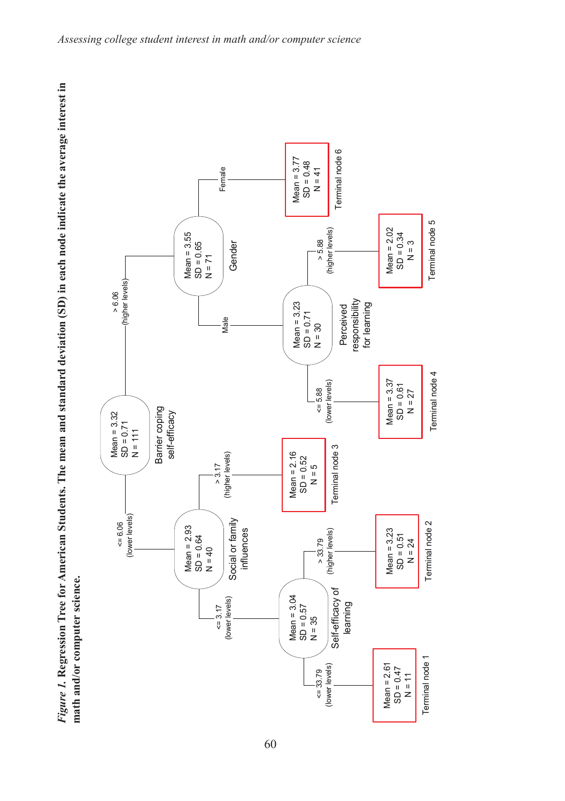

Figure 1. Regression Tree for American Students. The mean and standard deviation (SD) in each node indicate the average interest in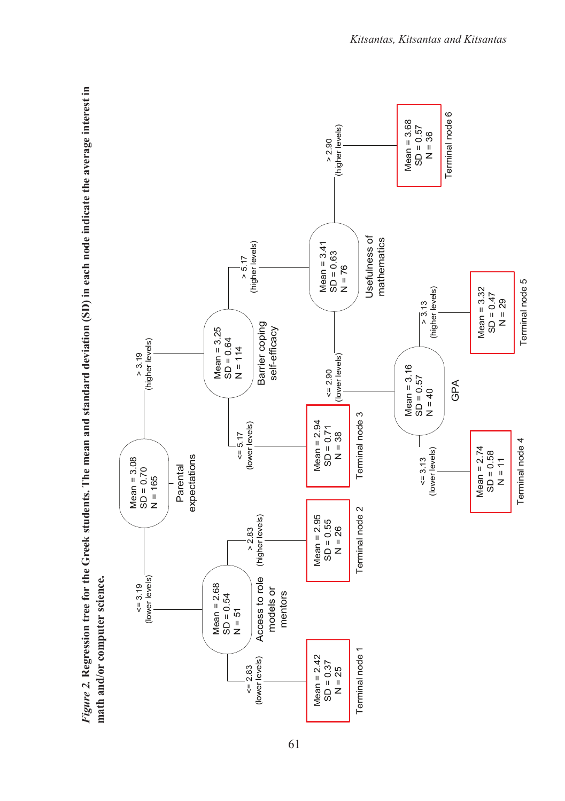